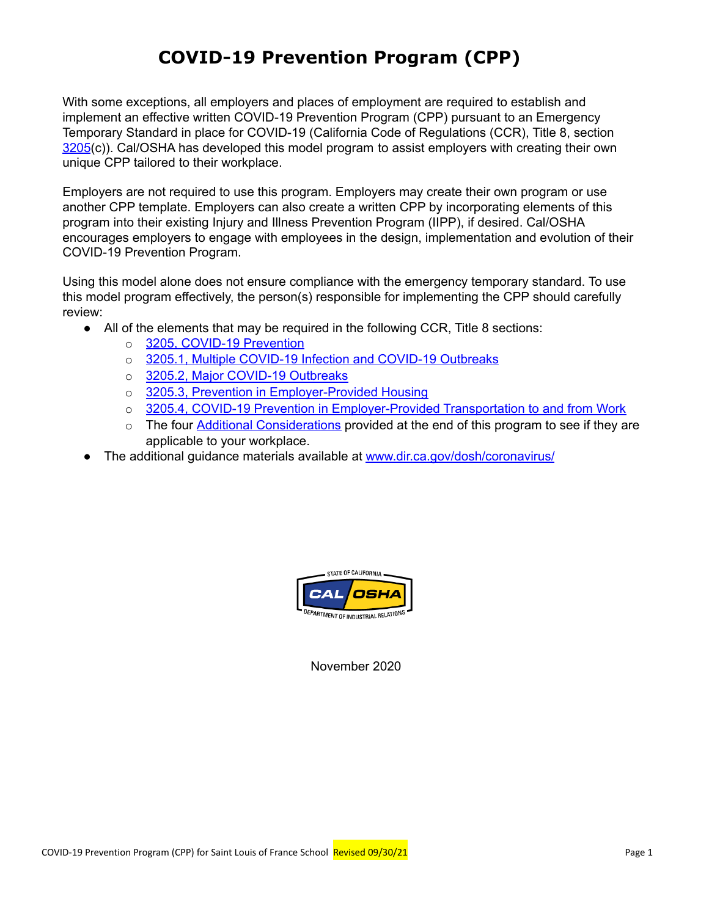## **COVID-19 Prevention Program (CPP)**

With some exceptions, all employers and places of employment are required to establish and implement an effective written COVID-19 Prevention Program (CPP) pursuant to an Emergency Temporary Standard in place for COVID-19 (California Code of Regulations (CCR), Title 8, section [3205](https://www.dir.ca.gov/title8/3205.html)(c)). Cal/OSHA has developed this model program to assist employers with creating their own unique CPP tailored to their workplace.

Employers are not required to use this program. Employers may create their own program or use another CPP template. Employers can also create a written CPP by incorporating elements of this program into their existing Injury and Illness Prevention Program (IIPP), if desired. Cal/OSHA encourages employers to engage with employees in the design, implementation and evolution of their COVID-19 Prevention Program.

Using this model alone does not ensure compliance with the emergency temporary standard. To use this model program effectively, the person(s) responsible for implementing the CPP should carefully review:

- All of the elements that may be required in the following CCR, Title 8 sections:
	- o 3205, COVID-19 [Prevention](https://www.dir.ca.gov/title8/3205.html)
	- o 3205.1, Multiple COVID-19 Infection and COVID-19 [Outbreaks](https://www.dir.ca.gov/title8/3205_1.html)
	- o 3205.2, Major COVID-19 [Outbreaks](https://www.dir.ca.gov/title8/3205_2.html)
	- o 3205.3, Prevention in [Employer-Provided](https://www.dir.ca.gov/title8/3205_3.html) Housing
	- o 3205.4, COVID-19 Prevention in [Employer-Provided](https://www.dir.ca.gov/title8/3205_4.html) Transportation to and from Work
	- $\circ$  The four Additional Considerations provided at the end of this program to see if they are applicable to your workplace.
- The additional guidance materials available at www.dir.ca.gov/dosh/coronavirus/



November 2020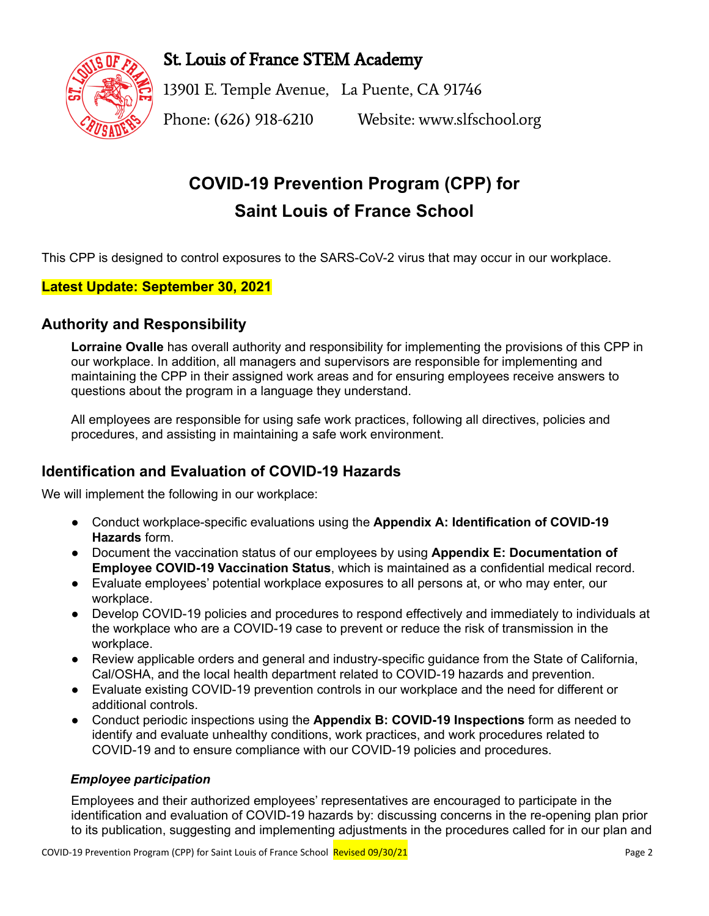

St. Louis of France STEM Academy

13901 E. Temple Avenue, La Puente, CA 91746 Phone: (626) 918-6210 Website: www.slfschool.org

# **COVID-19 Prevention Program (CPP) for Saint Louis of France School**

This CPP is designed to control exposures to the SARS-CoV-2 virus that may occur in our workplace.

### **Latest Update: September 30, 2021**

## **Authority and Responsibility**

**Lorraine Ovalle** has overall authority and responsibility for implementing the provisions of this CPP in our workplace. In addition, all managers and supervisors are responsible for implementing and maintaining the CPP in their assigned work areas and for ensuring employees receive answers to questions about the program in a language they understand.

All employees are responsible for using safe work practices, following all directives, policies and procedures, and assisting in maintaining a safe work environment.

## **Identification and Evaluation of COVID-19 Hazards**

We will implement the following in our workplace:

- Conduct workplace-specific evaluations using the **Appendix A: Identification of COVID-19 Hazards** form.
- Document the vaccination status of our employees by using **Appendix E: Documentation of Employee COVID-19 Vaccination Status**, which is maintained as a confidential medical record.
- Evaluate employees' potential workplace exposures to all persons at, or who may enter, our workplace.
- Develop COVID-19 policies and procedures to respond effectively and immediately to individuals at the workplace who are a COVID-19 case to prevent or reduce the risk of transmission in the workplace.
- Review applicable orders and general and industry-specific guidance from the State of California, Cal/OSHA, and the local health department related to COVID-19 hazards and prevention.
- Evaluate existing COVID-19 prevention controls in our workplace and the need for different or additional controls.
- Conduct periodic inspections using the **Appendix B: COVID-19 Inspections** form as needed to identify and evaluate unhealthy conditions, work practices, and work procedures related to COVID-19 and to ensure compliance with our COVID-19 policies and procedures.

### *Employee participation*

Employees and their authorized employees' representatives are encouraged to participate in the identification and evaluation of COVID-19 hazards by: discussing concerns in the re-opening plan prior to its publication, suggesting and implementing adjustments in the procedures called for in our plan and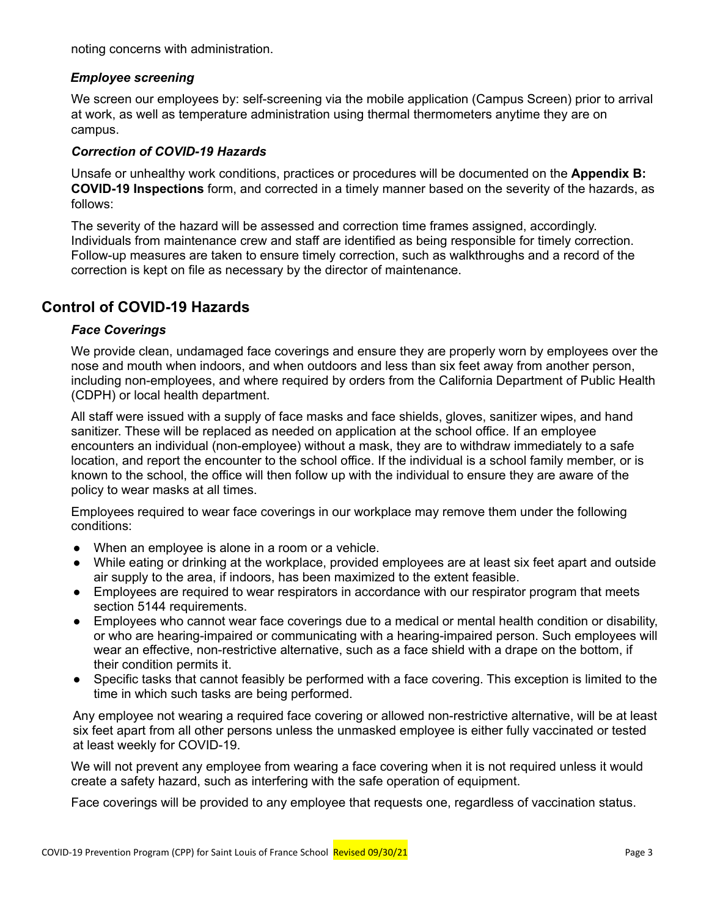noting concerns with administration.

### *Employee screening*

We screen our employees by: self-screening via the mobile application (Campus Screen) prior to arrival at work, as well as temperature administration using thermal thermometers anytime they are on campus.

### *Correction of COVID-19 Hazards*

Unsafe or unhealthy work conditions, practices or procedures will be documented on the **Appendix B: COVID-19 Inspections** form, and corrected in a timely manner based on the severity of the hazards, as follows:

The severity of the hazard will be assessed and correction time frames assigned, accordingly. Individuals from maintenance crew and staff are identified as being responsible for timely correction. Follow-up measures are taken to ensure timely correction, such as walkthroughs and a record of the correction is kept on file as necessary by the director of maintenance.

### **Control of COVID-19 Hazards**

### *Face Coverings*

We provide clean, undamaged face coverings and ensure they are properly worn by employees over the nose and mouth when indoors, and when outdoors and less than six feet away from another person, including non-employees, and where required by orders from the California Department of Public Health (CDPH) or local health department.

All staff were issued with a supply of face masks and face shields, gloves, sanitizer wipes, and hand sanitizer. These will be replaced as needed on application at the school office. If an employee encounters an individual (non-employee) without a mask, they are to withdraw immediately to a safe location, and report the encounter to the school office. If the individual is a school family member, or is known to the school, the office will then follow up with the individual to ensure they are aware of the policy to wear masks at all times.

Employees required to wear face coverings in our workplace may remove them under the following conditions:

- When an employee is alone in a room or a vehicle.
- While eating or drinking at the workplace, provided employees are at least six feet apart and outside air supply to the area, if indoors, has been maximized to the extent feasible.
- Employees are required to wear respirators in accordance with our respirator program that meets section 5144 requirements.
- Employees who cannot wear face coverings due to a medical or mental health condition or disability, or who are hearing-impaired or communicating with a hearing-impaired person. Such employees will wear an effective, non-restrictive alternative, such as a face shield with a drape on the bottom, if their condition permits it.
- Specific tasks that cannot feasibly be performed with a face covering. This exception is limited to the time in which such tasks are being performed.

Any employee not wearing a required face covering or allowed non-restrictive alternative, will be at least six feet apart from all other persons unless the unmasked employee is either fully vaccinated or tested at least weekly for COVID-19.

We will not prevent any employee from wearing a face covering when it is not required unless it would create a safety hazard, such as interfering with the safe operation of equipment.

Face coverings will be provided to any employee that requests one, regardless of vaccination status.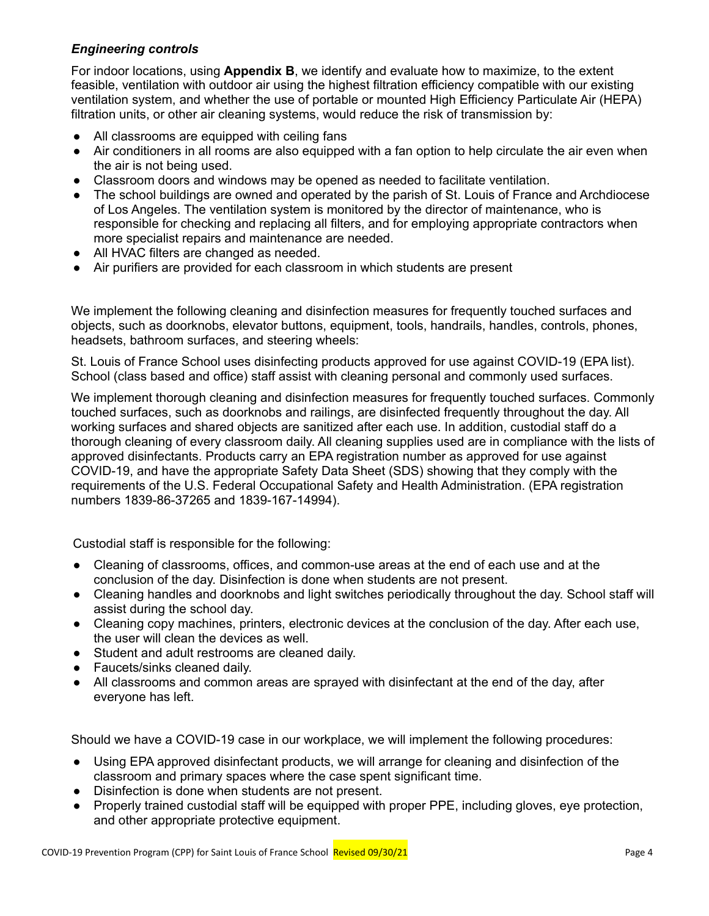### *Engineering controls*

For indoor locations, using **Appendix B**, we identify and evaluate how to maximize, to the extent feasible, ventilation with outdoor air using the highest filtration efficiency compatible with our existing ventilation system, and whether the use of portable or mounted High Efficiency Particulate Air (HEPA) filtration units, or other air cleaning systems, would reduce the risk of transmission by:

- All classrooms are equipped with ceiling fans
- Air conditioners in all rooms are also equipped with a fan option to help circulate the air even when the air is not being used.
- Classroom doors and windows may be opened as needed to facilitate ventilation.
- The school buildings are owned and operated by the parish of St. Louis of France and Archdiocese of Los Angeles. The ventilation system is monitored by the director of maintenance, who is responsible for checking and replacing all filters, and for employing appropriate contractors when more specialist repairs and maintenance are needed.
- All HVAC filters are changed as needed.
- Air purifiers are provided for each classroom in which students are present

We implement the following cleaning and disinfection measures for frequently touched surfaces and objects, such as doorknobs, elevator buttons, equipment, tools, handrails, handles, controls, phones, headsets, bathroom surfaces, and steering wheels:

St. Louis of France School uses disinfecting products approved for use against COVID-19 (EPA list). School (class based and office) staff assist with cleaning personal and commonly used surfaces.

We implement thorough cleaning and disinfection measures for frequently touched surfaces. Commonly touched surfaces, such as doorknobs and railings, are disinfected frequently throughout the day. All working surfaces and shared objects are sanitized after each use. In addition, custodial staff do a thorough cleaning of every classroom daily. All cleaning supplies used are in compliance with the lists of approved disinfectants. Products carry an EPA registration number as approved for use against COVID-19, and have the appropriate Safety Data Sheet (SDS) showing that they comply with the requirements of the U.S. Federal Occupational Safety and Health Administration. (EPA registration numbers 1839-86-37265 and 1839-167-14994).

Custodial staff is responsible for the following:

- Cleaning of classrooms, offices, and common-use areas at the end of each use and at the conclusion of the day. Disinfection is done when students are not present.
- Cleaning handles and doorknobs and light switches periodically throughout the day. School staff will assist during the school day.
- Cleaning copy machines, printers, electronic devices at the conclusion of the day. After each use, the user will clean the devices as well.
- Student and adult restrooms are cleaned daily.
- Faucets/sinks cleaned daily.
- All classrooms and common areas are sprayed with disinfectant at the end of the day, after everyone has left.

Should we have a COVID-19 case in our workplace, we will implement the following procedures:

- Using EPA approved disinfectant products, we will arrange for cleaning and disinfection of the classroom and primary spaces where the case spent significant time.
- Disinfection is done when students are not present.
- Properly trained custodial staff will be equipped with proper PPE, including gloves, eye protection, and other appropriate protective equipment.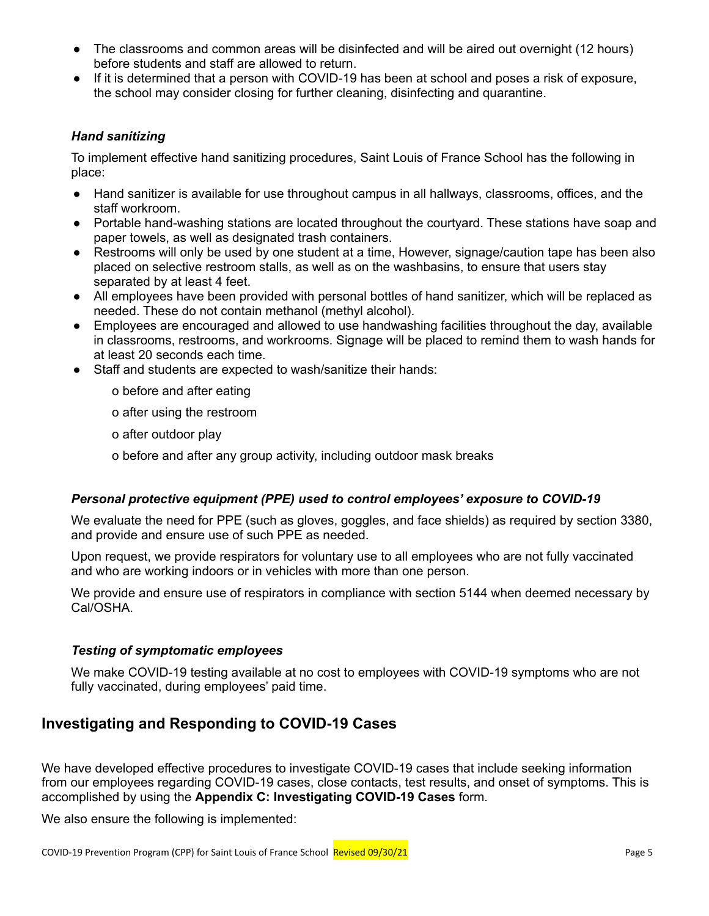- The classrooms and common areas will be disinfected and will be aired out overnight (12 hours) before students and staff are allowed to return.
- If it is determined that a person with COVID-19 has been at school and poses a risk of exposure, the school may consider closing for further cleaning, disinfecting and quarantine.

### *Hand sanitizing*

To implement effective hand sanitizing procedures, Saint Louis of France School has the following in place:

- Hand sanitizer is available for use throughout campus in all hallways, classrooms, offices, and the staff workroom.
- Portable hand-washing stations are located throughout the courtyard. These stations have soap and paper towels, as well as designated trash containers.
- Restrooms will only be used by one student at a time, However, signage/caution tape has been also placed on selective restroom stalls, as well as on the washbasins, to ensure that users stay separated by at least 4 feet.
- All employees have been provided with personal bottles of hand sanitizer, which will be replaced as needed. These do not contain methanol (methyl alcohol).
- Employees are encouraged and allowed to use handwashing facilities throughout the day, available in classrooms, restrooms, and workrooms. Signage will be placed to remind them to wash hands for at least 20 seconds each time.
- Staff and students are expected to wash/sanitize their hands:
	- o before and after eating
	- o after using the restroom
	- o after outdoor play
	- o before and after any group activity, including outdoor mask breaks

### *Personal protective equipment (PPE) used to control employees' exposure to COVID-19*

We evaluate the need for PPE (such as gloves, goggles, and face shields) as required by section 3380, and provide and ensure use of such PPE as needed.

Upon request, we provide respirators for voluntary use to all employees who are not fully vaccinated and who are working indoors or in vehicles with more than one person.

We provide and ensure use of respirators in compliance with section 5144 when deemed necessary by Cal/OSHA.

### *Testing of symptomatic employees*

We make COVID-19 testing available at no cost to employees with COVID-19 symptoms who are not fully vaccinated, during employees' paid time.

## **Investigating and Responding to COVID-19 Cases**

We have developed effective procedures to investigate COVID-19 cases that include seeking information from our employees regarding COVID-19 cases, close contacts, test results, and onset of symptoms. This is accomplished by using the **Appendix C: Investigating COVID-19 Cases** form.

We also ensure the following is implemented: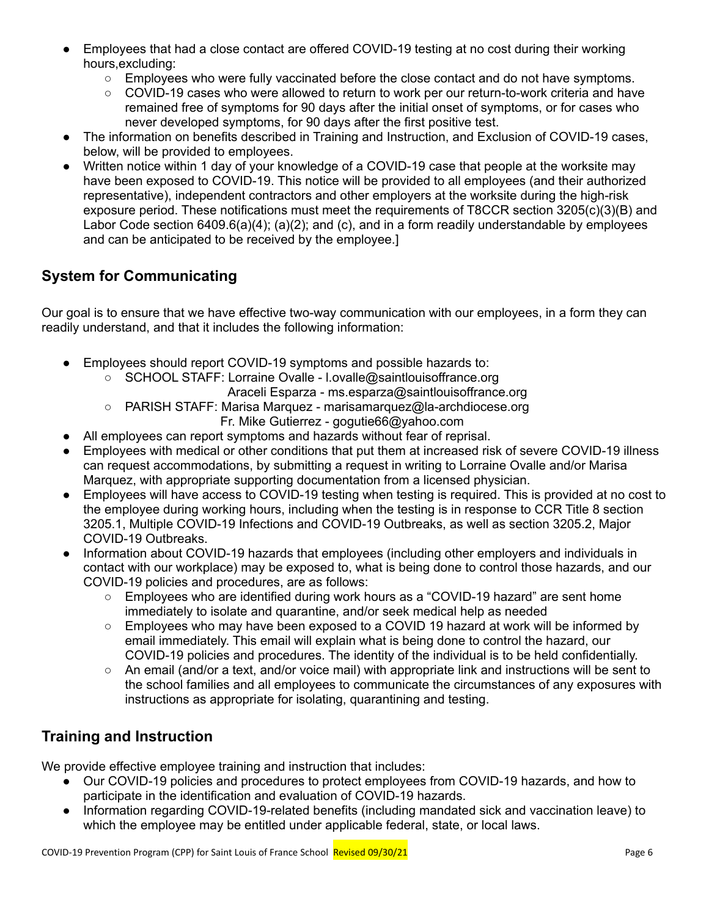- Employees that had a close contact are offered COVID-19 testing at no cost during their working hours,excluding:
	- Employees who were fully vaccinated before the close contact and do not have symptoms.
	- COVID-19 cases who were allowed to return to work per our return-to-work criteria and have remained free of symptoms for 90 days after the initial onset of symptoms, or for cases who never developed symptoms, for 90 days after the first positive test.
- The information on benefits described in Training and Instruction, and Exclusion of COVID-19 cases, below, will be provided to employees.
- Written notice within 1 day of your knowledge of a COVID-19 case that people at the worksite may have been exposed to COVID-19. This notice will be provided to all employees (and their authorized representative), independent contractors and other employers at the worksite during the high-risk exposure period. These notifications must meet the requirements of T8CCR section 3205(c)(3)(B) and Labor Code section 6409.6(a)(4); (a)(2); and (c), and in a form readily understandable by employees and can be anticipated to be received by the employee.]

## **System for Communicating**

Our goal is to ensure that we have effective two-way communication with our employees, in a form they can readily understand, and that it includes the following information:

- Employees should report COVID-19 symptoms and possible hazards to:
	- SCHOOL STAFF: Lorraine Ovalle l.ovalle@saintlouisoffrance.org

Araceli Esparza - ms.esparza@saintlouisoffrance.org

- PARISH STAFF: Marisa Marquez marisamarquez@la-archdiocese.org
	- Fr. Mike Gutierrez gogutie66@yahoo.com
- All employees can report symptoms and hazards without fear of reprisal.
- Employees with medical or other conditions that put them at increased risk of severe COVID-19 illness can request accommodations, by submitting a request in writing to Lorraine Ovalle and/or Marisa Marquez, with appropriate supporting documentation from a licensed physician.
- Employees will have access to COVID-19 testing when testing is required. This is provided at no cost to the employee during working hours, including when the testing is in response to CCR Title 8 section 3205.1, Multiple COVID-19 Infections and COVID-19 Outbreaks, as well as section 3205.2, Major COVID-19 Outbreaks.
- Information about COVID-19 hazards that employees (including other employers and individuals in contact with our workplace) may be exposed to, what is being done to control those hazards, and our COVID-19 policies and procedures, are as follows:
	- Employees who are identified during work hours as a "COVID-19 hazard" are sent home immediately to isolate and quarantine, and/or seek medical help as needed
	- $\circ$  Employees who may have been exposed to a COVID 19 hazard at work will be informed by email immediately. This email will explain what is being done to control the hazard, our COVID-19 policies and procedures. The identity of the individual is to be held confidentially.
	- An email (and/or a text, and/or voice mail) with appropriate link and instructions will be sent to the school families and all employees to communicate the circumstances of any exposures with instructions as appropriate for isolating, quarantining and testing.

## **Training and Instruction**

We provide effective employee training and instruction that includes:

- Our COVID-19 policies and procedures to protect employees from COVID-19 hazards, and how to participate in the identification and evaluation of COVID-19 hazards.
- Information regarding COVID-19-related benefits (including mandated sick and vaccination leave) to which the employee may be entitled under applicable federal, state, or local laws.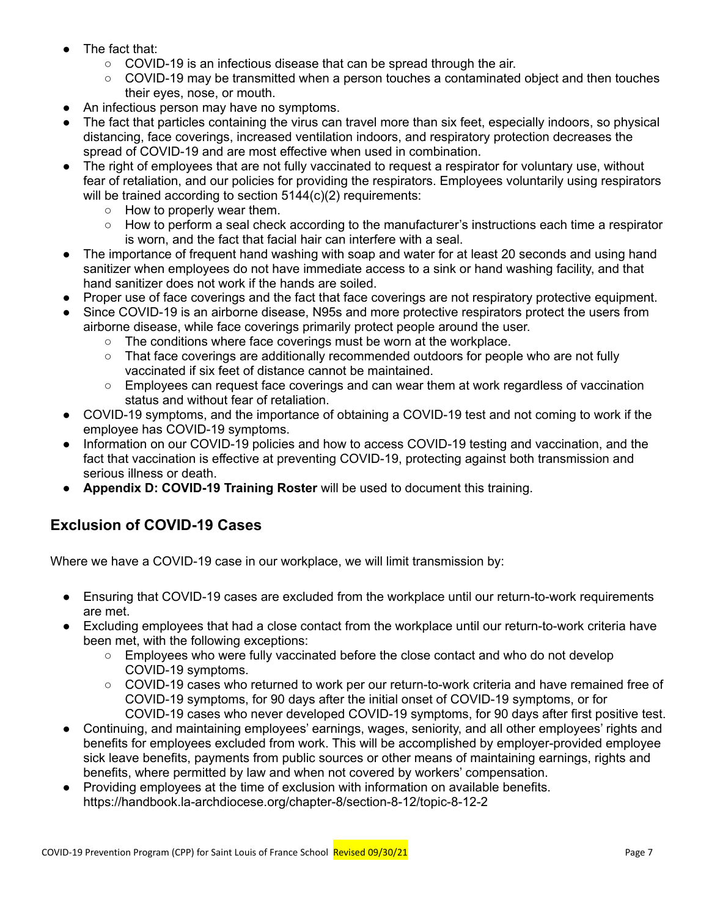- The fact that:
	- $\circ$  COVID-19 is an infectious disease that can be spread through the air.
	- COVID-19 may be transmitted when a person touches a contaminated object and then touches their eyes, nose, or mouth.
- An infectious person may have no symptoms.
- The fact that particles containing the virus can travel more than six feet, especially indoors, so physical distancing, face coverings, increased ventilation indoors, and respiratory protection decreases the spread of COVID-19 and are most effective when used in combination.
- The right of employees that are not fully vaccinated to request a respirator for voluntary use, without fear of retaliation, and our policies for providing the respirators. Employees voluntarily using respirators will be trained according to section 5144(c)(2) requirements:
	- How to properly wear them.
	- How to perform a seal check according to the manufacturer's instructions each time a respirator is worn, and the fact that facial hair can interfere with a seal.
- The importance of frequent hand washing with soap and water for at least 20 seconds and using hand sanitizer when employees do not have immediate access to a sink or hand washing facility, and that hand sanitizer does not work if the hands are soiled.
- Proper use of face coverings and the fact that face coverings are not respiratory protective equipment.
- Since COVID-19 is an airborne disease, N95s and more protective respirators protect the users from airborne disease, while face coverings primarily protect people around the user.
	- $\circ$  The conditions where face coverings must be worn at the workplace.
	- $\circ$  That face coverings are additionally recommended outdoors for people who are not fully vaccinated if six feet of distance cannot be maintained.
	- Employees can request face coverings and can wear them at work regardless of vaccination status and without fear of retaliation.
- COVID-19 symptoms, and the importance of obtaining a COVID-19 test and not coming to work if the employee has COVID-19 symptoms.
- Information on our COVID-19 policies and how to access COVID-19 testing and vaccination, and the fact that vaccination is effective at preventing COVID-19, protecting against both transmission and serious illness or death.
- **Appendix D: COVID-19 Training Roster** will be used to document this training.

## **Exclusion of COVID-19 Cases**

Where we have a COVID-19 case in our workplace, we will limit transmission by:

- Ensuring that COVID-19 cases are excluded from the workplace until our return-to-work requirements are met.
- Excluding employees that had a close contact from the workplace until our return-to-work criteria have been met, with the following exceptions:
	- Employees who were fully vaccinated before the close contact and who do not develop COVID-19 symptoms.
	- COVID-19 cases who returned to work per our return-to-work criteria and have remained free of COVID-19 symptoms, for 90 days after the initial onset of COVID-19 symptoms, or for COVID-19 cases who never developed COVID-19 symptoms, for 90 days after first positive test.
- Continuing, and maintaining employees' earnings, wages, seniority, and all other employees' rights and benefits for employees excluded from work. This will be accomplished by employer-provided employee sick leave benefits, payments from public sources or other means of maintaining earnings, rights and benefits, where permitted by law and when not covered by workers' compensation.
- Providing employees at the time of exclusion with information on available benefits. https://handbook.la-archdiocese.org/chapter-8/section-8-12/topic-8-12-2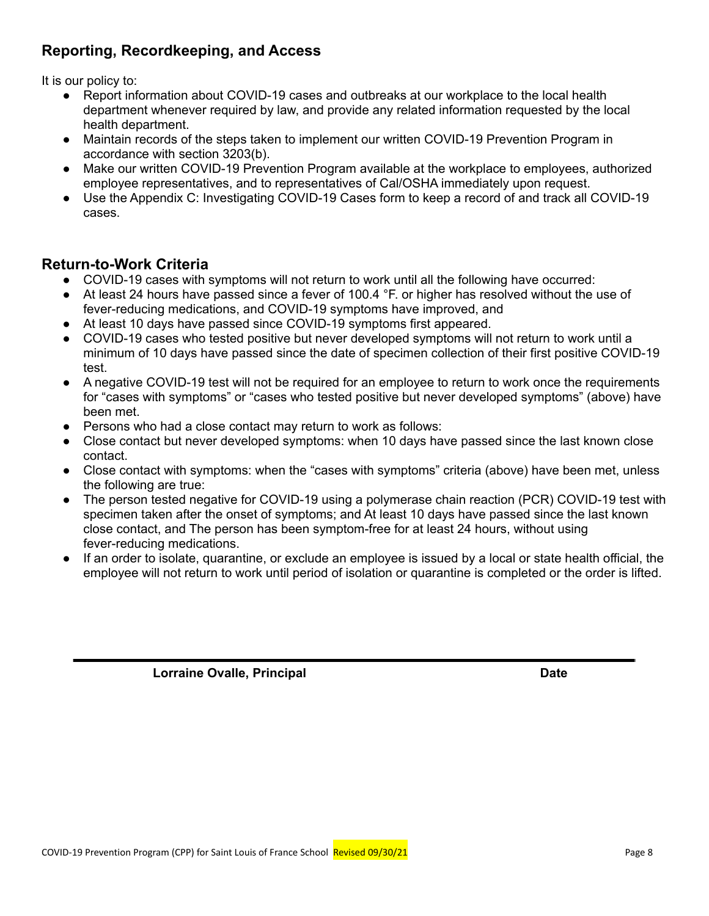## **Reporting, Recordkeeping, and Access**

It is our policy to:

- Report information about COVID-19 cases and outbreaks at our workplace to the local health department whenever required by law, and provide any related information requested by the local health department.
- Maintain records of the steps taken to implement our written COVID-19 Prevention Program in accordance with section 3203(b).
- Make our written COVID-19 Prevention Program available at the workplace to employees, authorized employee representatives, and to representatives of Cal/OSHA immediately upon request.
- Use the Appendix C: Investigating COVID-19 Cases form to keep a record of and track all COVID-19 cases.

## **Return-to-Work Criteria**

- COVID-19 cases with symptoms will not return to work until all the following have occurred:
- At least 24 hours have passed since a fever of 100.4 °F. or higher has resolved without the use of fever-reducing medications, and COVID-19 symptoms have improved, and
- At least 10 days have passed since COVID-19 symptoms first appeared.
- COVID-19 cases who tested positive but never developed symptoms will not return to work until a minimum of 10 days have passed since the date of specimen collection of their first positive COVID-19 test.
- A negative COVID-19 test will not be required for an employee to return to work once the requirements for "cases with symptoms" or "cases who tested positive but never developed symptoms" (above) have been met.
- Persons who had a close contact may return to work as follows:
- Close contact but never developed symptoms: when 10 days have passed since the last known close contact.
- Close contact with symptoms: when the "cases with symptoms" criteria (above) have been met, unless the following are true:
- The person tested negative for COVID-19 using a polymerase chain reaction (PCR) COVID-19 test with specimen taken after the onset of symptoms; and At least 10 days have passed since the last known close contact, and The person has been symptom-free for at least 24 hours, without using fever-reducing medications.
- If an order to isolate, quarantine, or exclude an employee is issued by a local or state health official, the employee will not return to work until period of isolation or quarantine is completed or the order is lifted.

**Lorraine Ovalle, Principal Date**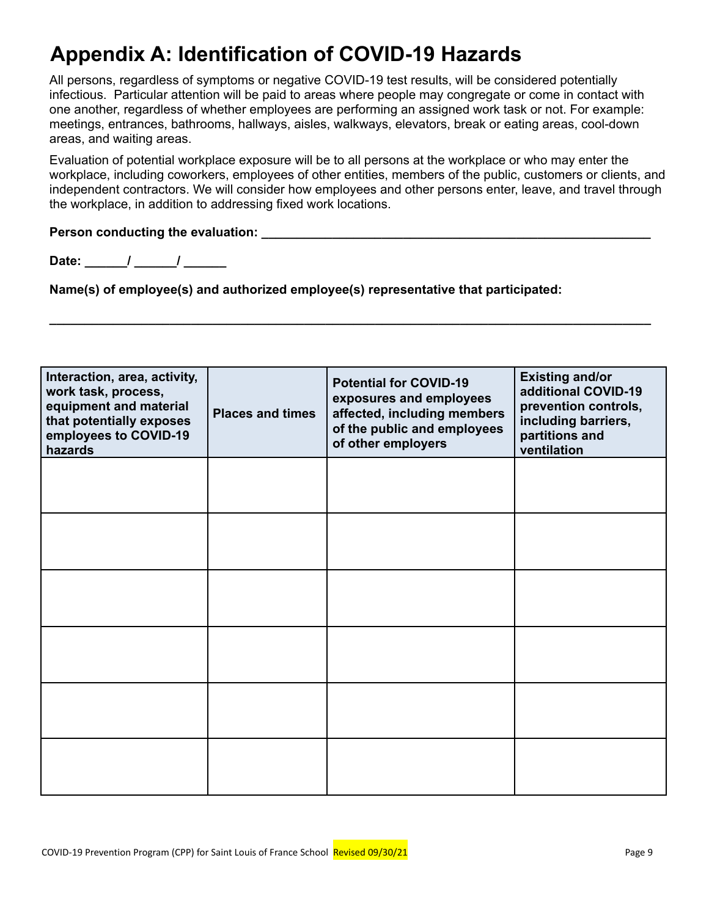# **Appendix A: Identification of COVID-19 Hazards**

All persons, regardless of symptoms or negative COVID-19 test results, will be considered potentially infectious. Particular attention will be paid to areas where people may congregate or come in contact with one another, regardless of whether employees are performing an assigned work task or not. For example: meetings, entrances, bathrooms, hallways, aisles, walkways, elevators, break or eating areas, cool-down areas, and waiting areas.

Evaluation of potential workplace exposure will be to all persons at the workplace or who may enter the workplace, including coworkers, employees of other entities, members of the public, customers or clients, and independent contractors. We will consider how employees and other persons enter, leave, and travel through the workplace, in addition to addressing fixed work locations.

**\_\_\_\_\_\_\_\_\_\_\_\_\_\_\_\_\_\_\_\_\_\_\_\_\_\_\_\_\_\_\_\_\_\_\_\_\_\_\_\_\_\_\_\_\_\_\_\_\_\_\_\_\_\_\_\_\_\_\_\_\_\_\_\_\_\_\_\_\_\_\_\_\_\_\_\_\_\_\_\_\_\_\_\_\_**

### **Person conducting the evaluation: \_\_\_\_\_\_\_\_\_\_\_\_\_\_\_\_\_\_\_\_\_\_\_\_\_\_\_\_\_\_\_\_\_\_\_\_\_\_\_\_\_\_\_\_\_\_\_\_\_\_\_\_\_\_\_**

**Date: \_\_\_\_\_\_/ \_\_\_\_\_\_/ \_\_\_\_\_\_**

**Name(s) of employee(s) and authorized employee(s) representative that participated:**

| Interaction, area, activity,<br>work task, process,<br>equipment and material<br>that potentially exposes<br>employees to COVID-19<br>hazards | <b>Places and times</b> | <b>Potential for COVID-19</b><br>exposures and employees<br>affected, including members<br>of the public and employees<br>of other employers | <b>Existing and/or</b><br>additional COVID-19<br>prevention controls,<br>including barriers,<br>partitions and<br>ventilation |
|-----------------------------------------------------------------------------------------------------------------------------------------------|-------------------------|----------------------------------------------------------------------------------------------------------------------------------------------|-------------------------------------------------------------------------------------------------------------------------------|
|                                                                                                                                               |                         |                                                                                                                                              |                                                                                                                               |
|                                                                                                                                               |                         |                                                                                                                                              |                                                                                                                               |
|                                                                                                                                               |                         |                                                                                                                                              |                                                                                                                               |
|                                                                                                                                               |                         |                                                                                                                                              |                                                                                                                               |
|                                                                                                                                               |                         |                                                                                                                                              |                                                                                                                               |
|                                                                                                                                               |                         |                                                                                                                                              |                                                                                                                               |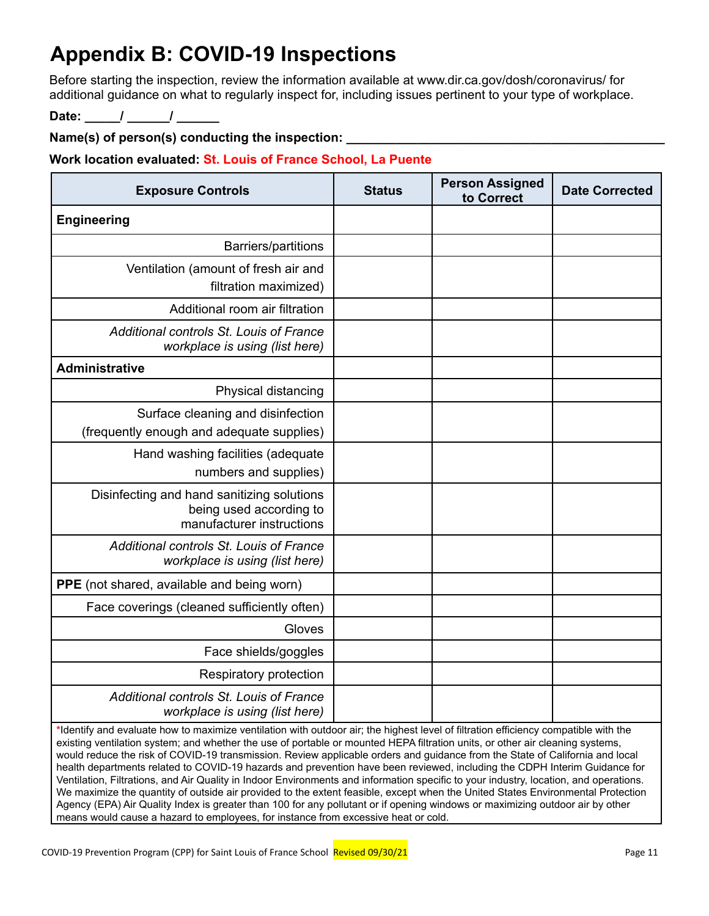# **Appendix B: COVID-19 Inspections**

Before starting the inspection, review the information available at www.dir.ca.gov/dosh/coronavirus/ for additional guidance on what to regularly inspect for, including issues pertinent to your type of workplace.

**Date: \_\_\_\_\_/ \_\_\_\_\_\_/ \_\_\_\_\_\_**

**Name(s) of person(s) conducting the inspection: \_\_\_\_\_\_\_\_\_\_\_\_\_\_\_\_\_\_\_\_\_\_\_\_\_\_\_\_\_\_\_\_\_\_\_\_\_\_\_\_\_\_\_\_\_**

**Work location evaluated: St. Louis of France School, La Puente**

| <b>Exposure Controls</b>                                                                           | <b>Status</b> | <b>Person Assigned</b><br>to Correct | <b>Date Corrected</b> |
|----------------------------------------------------------------------------------------------------|---------------|--------------------------------------|-----------------------|
| <b>Engineering</b>                                                                                 |               |                                      |                       |
| Barriers/partitions                                                                                |               |                                      |                       |
| Ventilation (amount of fresh air and<br>filtration maximized)                                      |               |                                      |                       |
| Additional room air filtration                                                                     |               |                                      |                       |
| Additional controls St. Louis of France<br>workplace is using (list here)                          |               |                                      |                       |
| <b>Administrative</b>                                                                              |               |                                      |                       |
| Physical distancing                                                                                |               |                                      |                       |
| Surface cleaning and disinfection<br>(frequently enough and adequate supplies)                     |               |                                      |                       |
| Hand washing facilities (adequate<br>numbers and supplies)                                         |               |                                      |                       |
| Disinfecting and hand sanitizing solutions<br>being used according to<br>manufacturer instructions |               |                                      |                       |
| Additional controls St. Louis of France<br>workplace is using (list here)                          |               |                                      |                       |
| PPE (not shared, available and being worn)                                                         |               |                                      |                       |
| Face coverings (cleaned sufficiently often)                                                        |               |                                      |                       |
| Gloves                                                                                             |               |                                      |                       |
| Face shields/goggles                                                                               |               |                                      |                       |
| Respiratory protection                                                                             |               |                                      |                       |
| Additional controls St. Louis of France<br>workplace is using (list here)                          |               |                                      |                       |

**\***Identify and evaluate how to maximize ventilation with outdoor air; the highest level of filtration efficiency compatible with the existing ventilation system; and whether the use of portable or mounted HEPA filtration units, or other air cleaning systems, would reduce the risk of COVID-19 transmission. Review applicable orders and guidance from the State of California and local health departments related to COVID-19 hazards and prevention have been reviewed, including the CDPH Interim Guidance for Ventilation, Filtrations, and Air Quality in Indoor Environments and information specific to your industry, location, and operations. We maximize the quantity of outside air provided to the extent feasible, except when the United States Environmental Protection Agency (EPA) Air Quality Index is greater than 100 for any pollutant or if opening windows or maximizing outdoor air by other means would cause a hazard to employees, for instance from excessive heat or cold.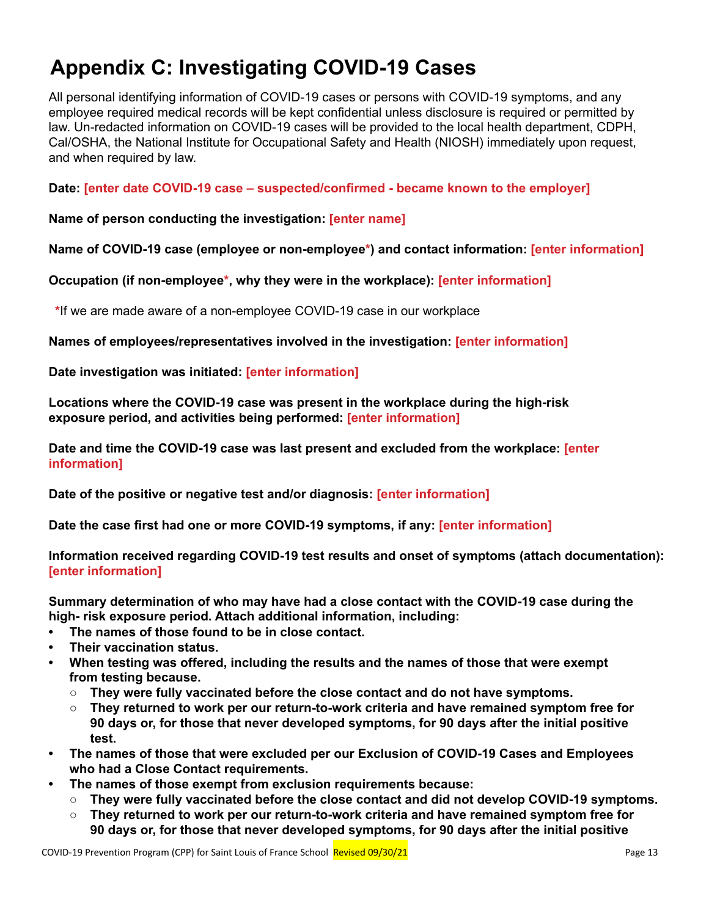# **Appendix C: Investigating COVID-19 Cases**

All personal identifying information of COVID-19 cases or persons with COVID-19 symptoms, and any employee required medical records will be kept confidential unless disclosure is required or permitted by law. Un-redacted information on COVID-19 cases will be provided to the local health department, CDPH, Cal/OSHA, the National Institute for Occupational Safety and Health (NIOSH) immediately upon request, and when required by law.

**Date: [enter date COVID-19 case – suspected/confirmed - became known to the employer]**

### **Name of person conducting the investigation: [enter name]**

### **Name of COVID-19 case (employee or non-employee\*) and contact information: [enter information]**

**Occupation (if non-employee\*, why they were in the workplace): [enter information]**

**\***If we are made aware of a non-employee COVID-19 case in our workplace

**Names of employees/representatives involved in the investigation: [enter information]**

### **Date investigation was initiated: [enter information]**

**Locations where the COVID-19 case was present in the workplace during the high-risk exposure period, and activities being performed: [enter information]**

**Date and time the COVID-19 case was last present and excluded from the workplace: [enter information]**

**Date of the positive or negative test and/or diagnosis: [enter information]**

**Date the case first had one or more COVID-19 symptoms, if any: [enter information]**

**Information received regarding COVID-19 test results and onset of symptoms (attach documentation): [enter information]**

**Summary determination of who may have had a close contact with the COVID-19 case during the high- risk exposure period. Attach additional information, including:**

- **• The names of those found to be in close contact.**
- **• Their vaccination status.**
- **• When testing was offered, including the results and the names of those that were exempt from testing because.**
	- **○ They were fully vaccinated before the close contact and do not have symptoms.**
	- **○ They returned to work per our return-to-work criteria and have remained symptom free for 90 days or, for those that never developed symptoms, for 90 days after the initial positive test.**
- **• The names of those that were excluded per our Exclusion of COVID-19 Cases and Employees who had a Close Contact requirements.**
- **• The names of those exempt from exclusion requirements because:**
	- **○ They were fully vaccinated before the close contact and did not develop COVID-19 symptoms.**
	- **○ They returned to work per our return-to-work criteria and have remained symptom free for 90 days or, for those that never developed symptoms, for 90 days after the initial positive**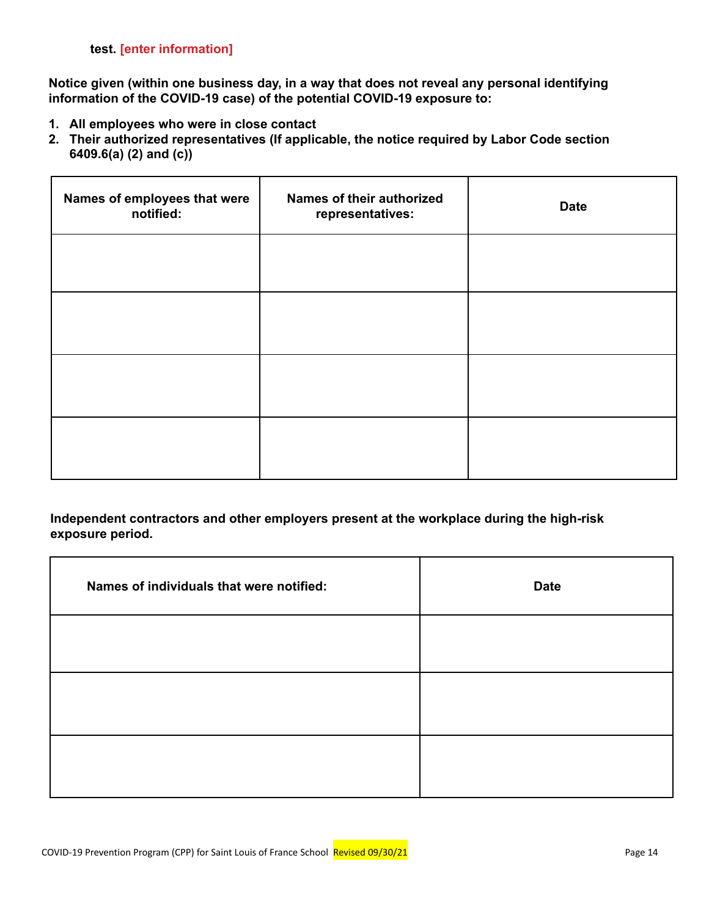**Notice given (within one business day, in a way that does not reveal any personal identifying information of the COVID-19 case) of the potential COVID-19 exposure to:**

- **1. All employees who were in close contact**
- **2. Their authorized representatives (If applicable, the notice required by Labor Code section 6409.6(a) (2) and (c))**

| Names of employees that were<br>notified: | Names of their authorized<br>representatives: | <b>Date</b> |
|-------------------------------------------|-----------------------------------------------|-------------|
|                                           |                                               |             |
|                                           |                                               |             |
|                                           |                                               |             |
|                                           |                                               |             |

**Independent contractors and other employers present at the workplace during the high-risk exposure period.**

| Names of individuals that were notified: | <b>Date</b> |
|------------------------------------------|-------------|
|                                          |             |
|                                          |             |
|                                          |             |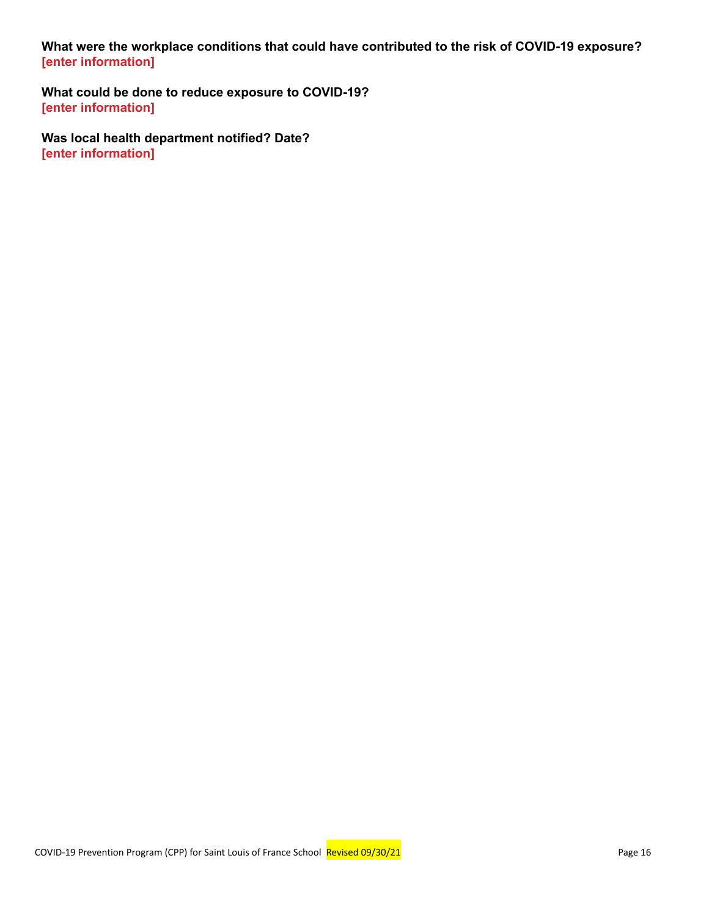**What were the workplace conditions that could have contributed to the risk of COVID-19 exposure? [enter information]**

**What could be done to reduce exposure to COVID-19? [enter information]**

**Was local health department notified? Date? [enter information]**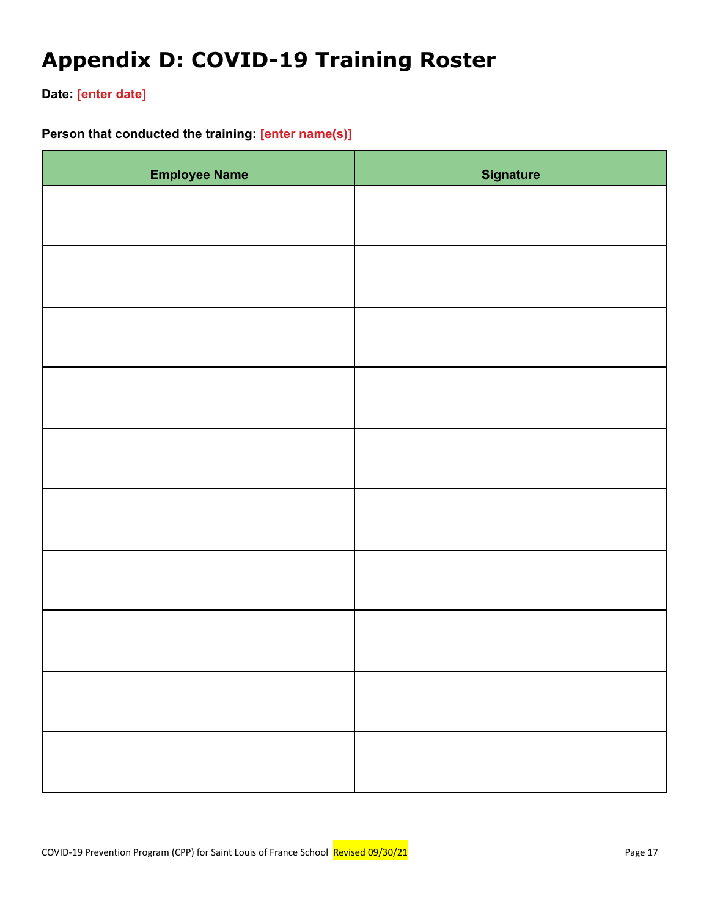# **Appendix D: COVID-19 Training Roster**

**Date: [enter date]**

## **Person that conducted the training: [enter name(s)]**

| <b>Employee Name</b> | <b>Signature</b> |
|----------------------|------------------|
|                      |                  |
|                      |                  |
|                      |                  |
|                      |                  |
|                      |                  |
|                      |                  |
|                      |                  |
|                      |                  |
|                      |                  |
|                      |                  |
|                      |                  |
|                      |                  |
|                      |                  |
|                      |                  |
|                      |                  |
|                      |                  |
|                      |                  |
|                      |                  |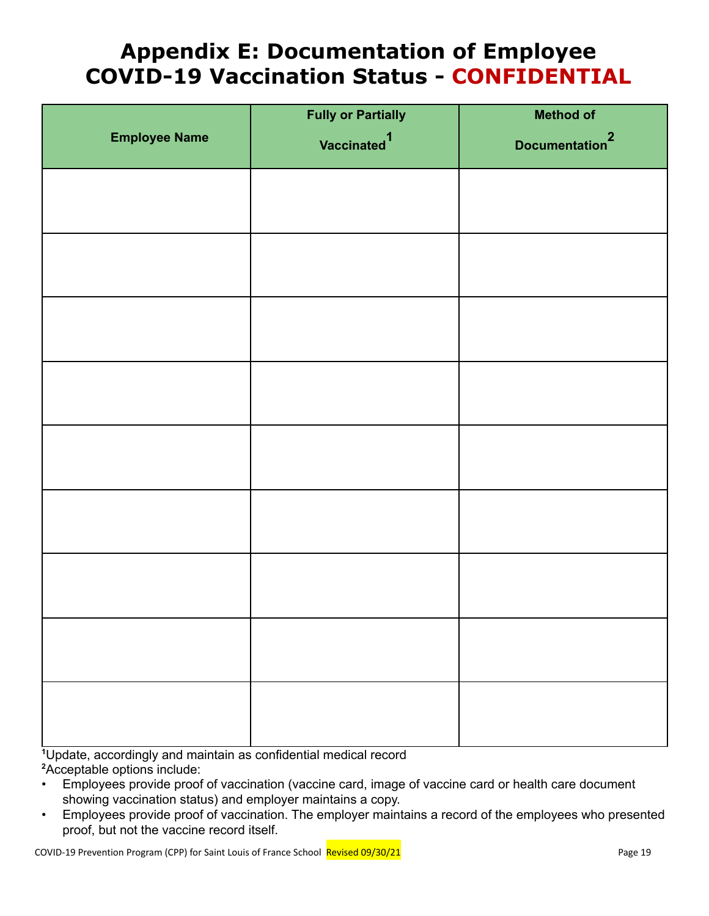# **Appendix E: Documentation of Employee COVID-19 Vaccination Status - CONFIDENTIAL**

|                      | <b>Fully or Partially</b> | <b>Method of</b>           |
|----------------------|---------------------------|----------------------------|
| <b>Employee Name</b> | Vaccinated <sup>1</sup>   | Documentation <sup>2</sup> |
|                      |                           |                            |
|                      |                           |                            |
|                      |                           |                            |
|                      |                           |                            |
|                      |                           |                            |
|                      |                           |                            |
|                      |                           |                            |
|                      |                           |                            |
|                      |                           |                            |
|                      |                           |                            |
|                      |                           |                            |
|                      |                           |                            |
|                      |                           |                            |
|                      |                           |                            |
|                      |                           |                            |
|                      |                           |                            |
|                      |                           |                            |

**<sup>1</sup>**Update, accordingly and maintain as confidential medical record **<sup>2</sup>**Acceptable options include:

- Employees provide proof of vaccination (vaccine card, image of vaccine card or health care document showing vaccination status) and employer maintains a copy.
- Employees provide proof of vaccination. The employer maintains a record of the employees who presented proof, but not the vaccine record itself.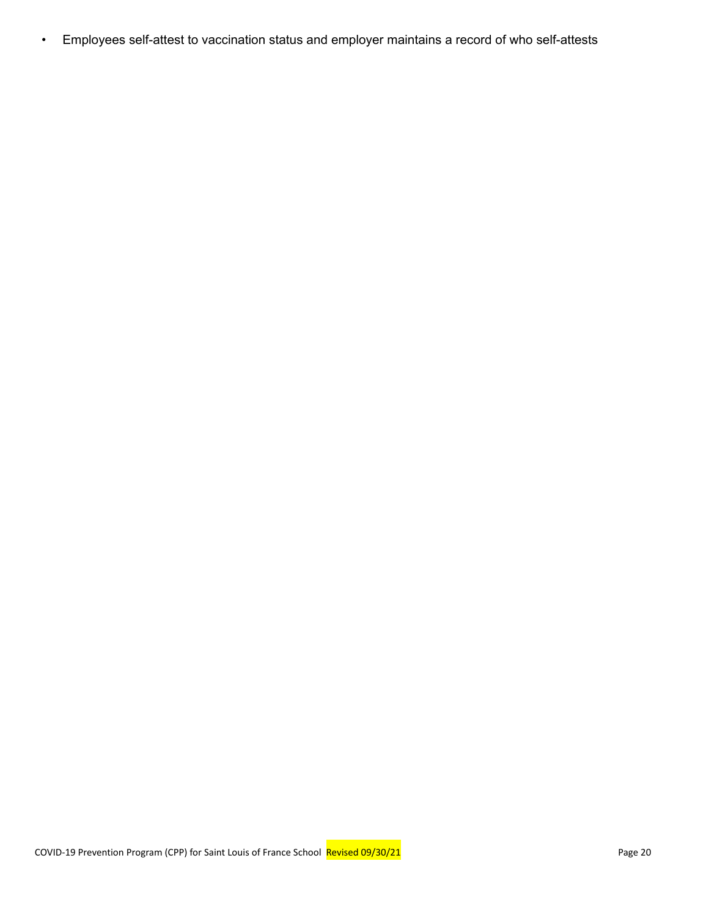• Employees self-attest to vaccination status and employer maintains a record of who self-attests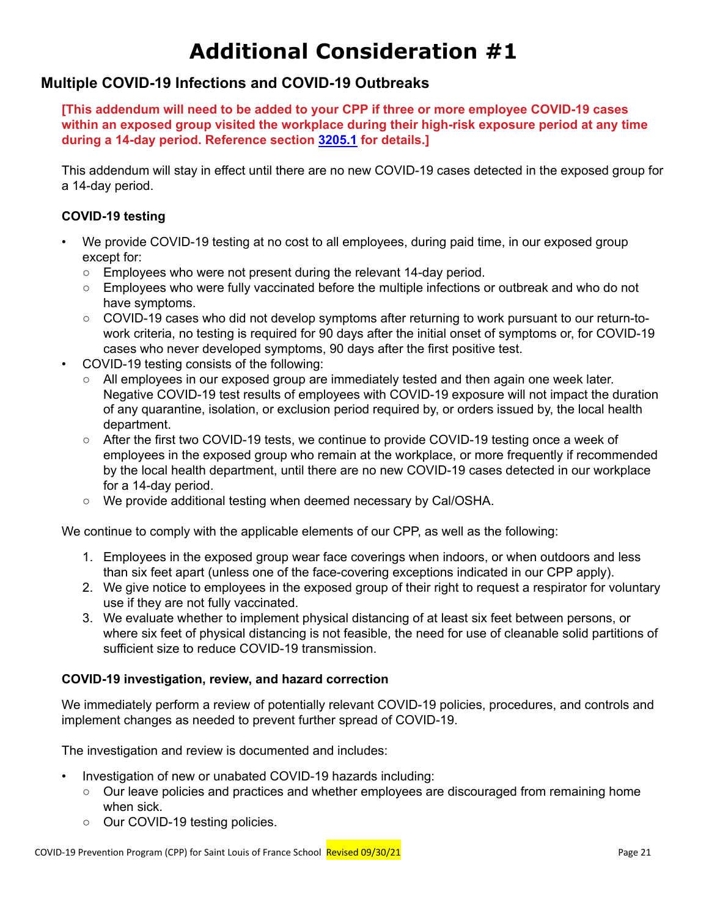# **Additional Consideration #1**

## **Multiple COVID-19 Infections and COVID-19 Outbreaks**

**[This addendum will need to be added to your CPP if three or more employee COVID-19 cases within an exposed group visited the workplace during their high-risk exposure period at any time during a 14-day period. Reference section [3205.1](https://www.dir.ca.gov/title8/3205_1.html) for details.]**

This addendum will stay in effect until there are no new COVID-19 cases detected in the exposed group for a 14-day period.

### **COVID-19 testing**

- We provide COVID-19 testing at no cost to all employees, during paid time, in our exposed group except for:
	- **○** Employees who were not present during the relevant 14-day period.
	- **○** Employees who were fully vaccinated before the multiple infections or outbreak and who do not have symptoms.
	- **○** COVID-19 cases who did not develop symptoms after returning to work pursuant to our return-towork criteria, no testing is required for 90 days after the initial onset of symptoms or, for COVID-19 cases who never developed symptoms, 90 days after the first positive test.
- COVID-19 testing consists of the following:
	- **○** All employees in our exposed group are immediately tested and then again one week later. Negative COVID-19 test results of employees with COVID-19 exposure will not impact the duration of any quarantine, isolation, or exclusion period required by, or orders issued by, the local health department.
	- **○** After the first two COVID-19 tests, we continue to provide COVID-19 testing once a week of employees in the exposed group who remain at the workplace, or more frequently if recommended by the local health department, until there are no new COVID-19 cases detected in our workplace for a 14-day period.
	- **○** We provide additional testing when deemed necessary by Cal/OSHA.

We continue to comply with the applicable elements of our CPP, as well as the following:

- 1. Employees in the exposed group wear face coverings when indoors, or when outdoors and less than six feet apart (unless one of the face-covering exceptions indicated in our CPP apply).
- 2. We give notice to employees in the exposed group of their right to request a respirator for voluntary use if they are not fully vaccinated.
- 3. We evaluate whether to implement physical distancing of at least six feet between persons, or where six feet of physical distancing is not feasible, the need for use of cleanable solid partitions of sufficient size to reduce COVID-19 transmission.

### **COVID-19 investigation, review, and hazard correction**

We immediately perform a review of potentially relevant COVID-19 policies, procedures, and controls and implement changes as needed to prevent further spread of COVID-19.

The investigation and review is documented and includes:

- Investigation of new or unabated COVID-19 hazards including:
	- **○** Our leave policies and practices and whether employees are discouraged from remaining home when sick.
	- **○** Our COVID-19 testing policies.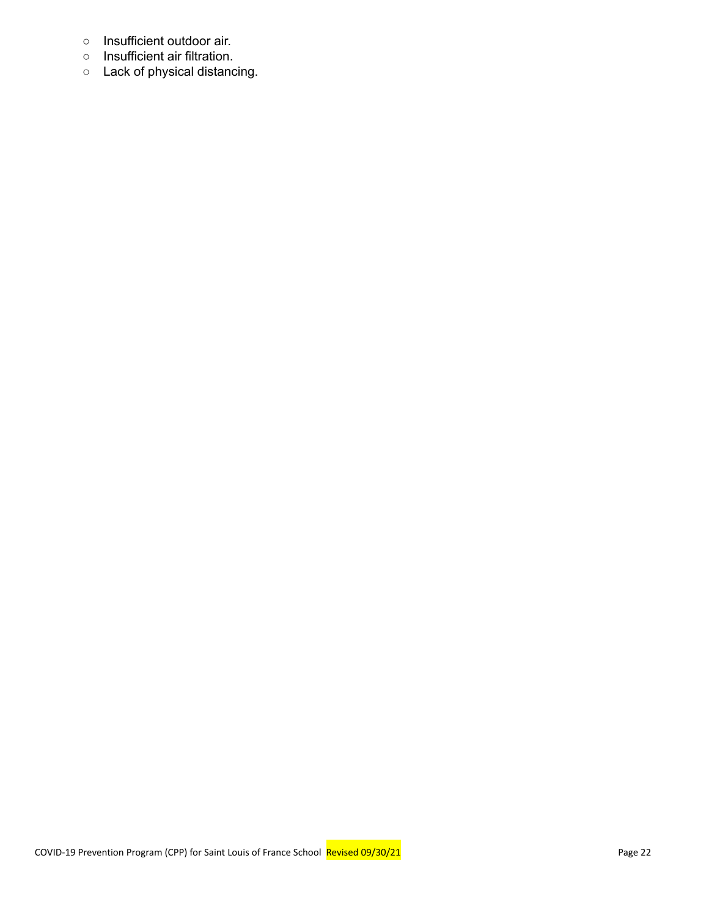- **○** Insufficient outdoor air.
- **○** Insufficient air filtration.
- **○** Lack of physical distancing.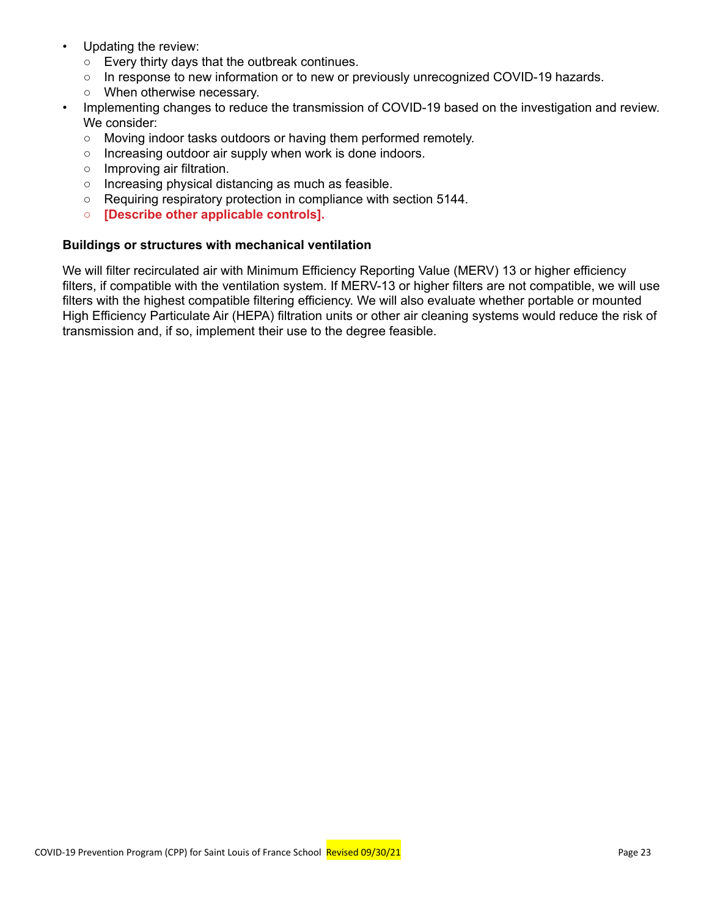- Updating the review:
	- **○** Every thirty days that the outbreak continues.
	- **○** In response to new information or to new or previously unrecognized COVID-19 hazards.
	- **○** When otherwise necessary.
	- Implementing changes to reduce the transmission of COVID-19 based on the investigation and review. We consider:
		- **○** Moving indoor tasks outdoors or having them performed remotely.
		- **○** Increasing outdoor air supply when work is done indoors.
		- **○** Improving air filtration.
		- **○** Increasing physical distancing as much as feasible.
		- **○** Requiring respiratory protection in compliance with section 5144.
		- **○ [Describe other applicable controls].**

### **Buildings or structures with mechanical ventilation**

We will filter recirculated air with Minimum Efficiency Reporting Value (MERV) 13 or higher efficiency filters, if compatible with the ventilation system. If MERV-13 or higher filters are not compatible, we will use filters with the highest compatible filtering efficiency. We will also evaluate whether portable or mounted High Efficiency Particulate Air (HEPA) filtration units or other air cleaning systems would reduce the risk of transmission and, if so, implement their use to the degree feasible.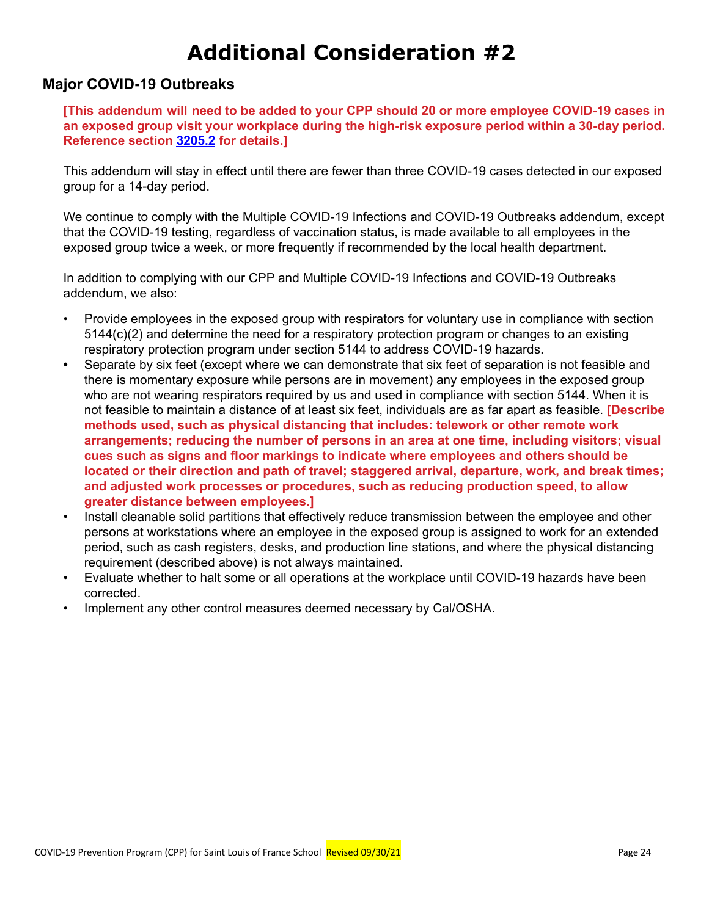# **Additional Consideration #2**

## **Major COVID-19 Outbreaks**

**[This addendum will need to be added to your CPP should 20 or more employee COVID-19 cases in an exposed group visit your workplace during the high-risk exposure period within a 30-day period. Reference section [3205.2](https://www.dir.ca.gov/title8/3205_2.html) for details.]**

This addendum will stay in effect until there are fewer than three COVID-19 cases detected in our exposed group for a 14-day period.

We continue to comply with the Multiple COVID-19 Infections and COVID-19 Outbreaks addendum, except that the COVID-19 testing, regardless of vaccination status, is made available to all employees in the exposed group twice a week, or more frequently if recommended by the local health department.

In addition to complying with our CPP and Multiple COVID-19 Infections and COVID-19 Outbreaks addendum, we also:

- Provide employees in the exposed group with respirators for voluntary use in compliance with section 5144(c)(2) and determine the need for a respiratory protection program or changes to an existing respiratory protection program under section 5144 to address COVID-19 hazards.
- **•** Separate by six feet (except where we can demonstrate that six feet of separation is not feasible and there is momentary exposure while persons are in movement) any employees in the exposed group who are not wearing respirators required by us and used in compliance with section 5144. When it is not feasible to maintain a distance of at least six feet, individuals are as far apart as feasible. **[Describe methods used, such as physical distancing that includes: telework or other remote work arrangements; reducing the number of persons in an area at one time, including visitors; visual cues such as signs and floor markings to indicate where employees and others should be located or their direction and path of travel; staggered arrival, departure, work, and break times; and adjusted work processes or procedures, such as reducing production speed, to allow greater distance between employees.]**
- Install cleanable solid partitions that effectively reduce transmission between the employee and other persons at workstations where an employee in the exposed group is assigned to work for an extended period, such as cash registers, desks, and production line stations, and where the physical distancing requirement (described above) is not always maintained.
- Evaluate whether to halt some or all operations at the workplace until COVID-19 hazards have been corrected.
- Implement any other control measures deemed necessary by Cal/OSHA.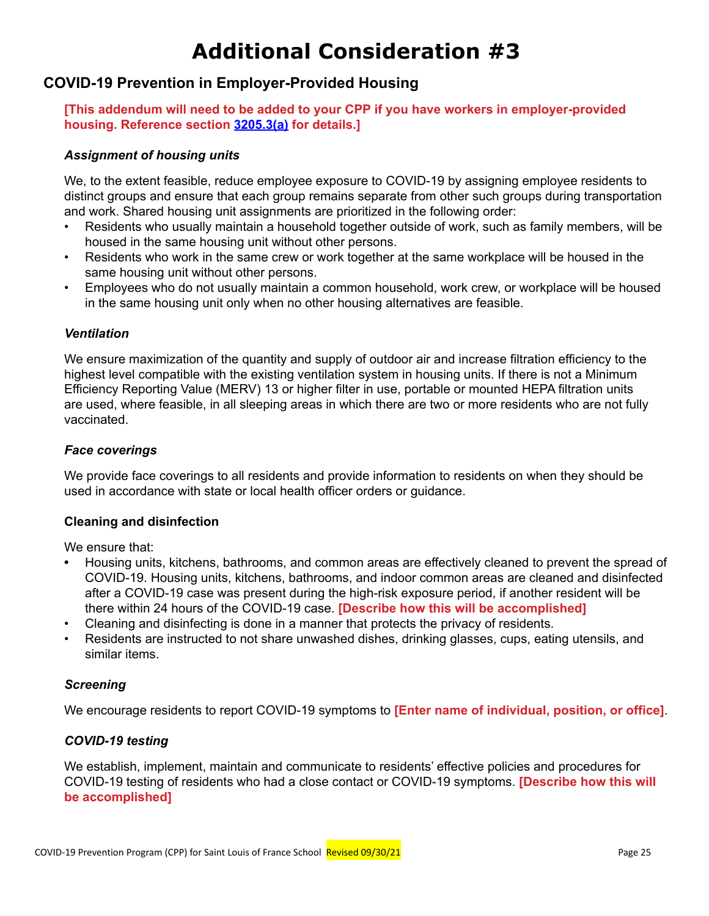# **Additional Consideration #3**

## **COVID-19 Prevention in Employer-Provided Housing**

**[This addendum will need to be added to your CPP if you have workers in employer-provided housing. Reference section [3205.3\(a\)](https://www.dir.ca.gov/title8/3205_3.html) for details.]**

### *Assignment of housing units*

We, to the extent feasible, reduce employee exposure to COVID-19 by assigning employee residents to distinct groups and ensure that each group remains separate from other such groups during transportation and work. Shared housing unit assignments are prioritized in the following order:

- Residents who usually maintain a household together outside of work, such as family members, will be housed in the same housing unit without other persons.
- Residents who work in the same crew or work together at the same workplace will be housed in the same housing unit without other persons.
- Employees who do not usually maintain a common household, work crew, or workplace will be housed in the same housing unit only when no other housing alternatives are feasible.

### *Ventilation*

We ensure maximization of the quantity and supply of outdoor air and increase filtration efficiency to the highest level compatible with the existing ventilation system in housing units. If there is not a Minimum Efficiency Reporting Value (MERV) 13 or higher filter in use, portable or mounted HEPA filtration units are used, where feasible, in all sleeping areas in which there are two or more residents who are not fully vaccinated.

### *Face coverings*

We provide face coverings to all residents and provide information to residents on when they should be used in accordance with state or local health officer orders or guidance.

### **Cleaning and disinfection**

We ensure that:

- **•** Housing units, kitchens, bathrooms, and common areas are effectively cleaned to prevent the spread of COVID-19. Housing units, kitchens, bathrooms, and indoor common areas are cleaned and disinfected after a COVID-19 case was present during the high-risk exposure period, if another resident will be there within 24 hours of the COVID-19 case. **[Describe how this will be accomplished]**
- Cleaning and disinfecting is done in a manner that protects the privacy of residents.
- Residents are instructed to not share unwashed dishes, drinking glasses, cups, eating utensils, and similar items.

### *Screening*

We encourage residents to report COVID-19 symptoms to **[Enter name of individual, position, or office]**.

### *COVID-19 testing*

We establish, implement, maintain and communicate to residents' effective policies and procedures for COVID-19 testing of residents who had a close contact or COVID-19 symptoms. **[Describe how this will be accomplished]**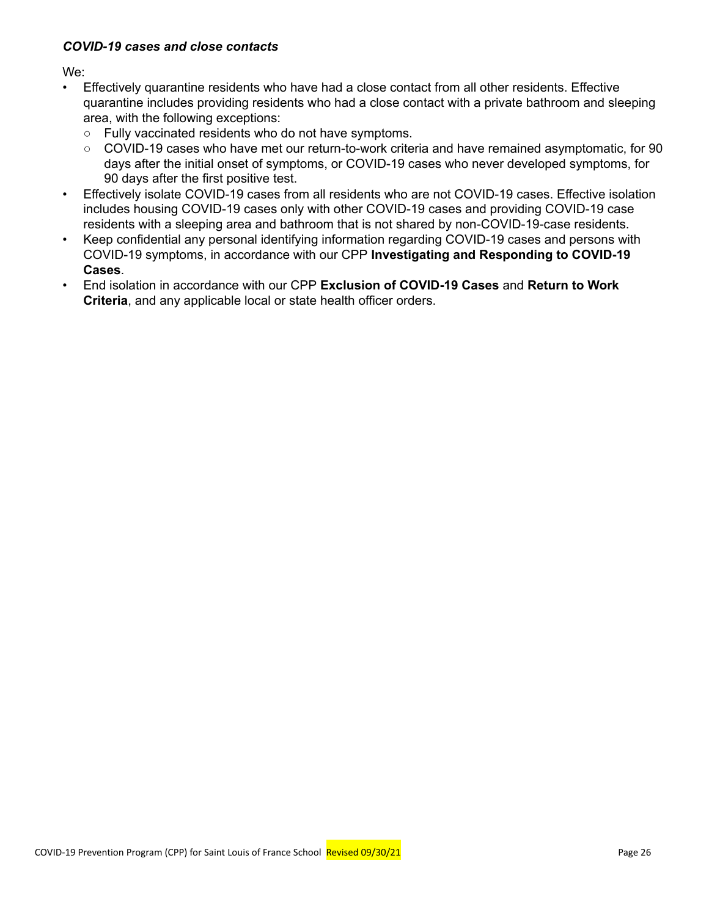### *COVID-19 cases and close contacts*

We:

- Effectively quarantine residents who have had a close contact from all other residents. Effective quarantine includes providing residents who had a close contact with a private bathroom and sleeping area, with the following exceptions:
	- **○** Fully vaccinated residents who do not have symptoms.
	- **○** COVID-19 cases who have met our return-to-work criteria and have remained asymptomatic, for 90 days after the initial onset of symptoms, or COVID-19 cases who never developed symptoms, for 90 days after the first positive test.
- Effectively isolate COVID-19 cases from all residents who are not COVID-19 cases. Effective isolation includes housing COVID-19 cases only with other COVID-19 cases and providing COVID-19 case residents with a sleeping area and bathroom that is not shared by non-COVID-19-case residents.
- Keep confidential any personal identifying information regarding COVID-19 cases and persons with COVID-19 symptoms, in accordance with our CPP **Investigating and Responding to COVID-19 Cases**.
- End isolation in accordance with our CPP **Exclusion of COVID-19 Cases** and **Return to Work Criteria**, and any applicable local or state health officer orders.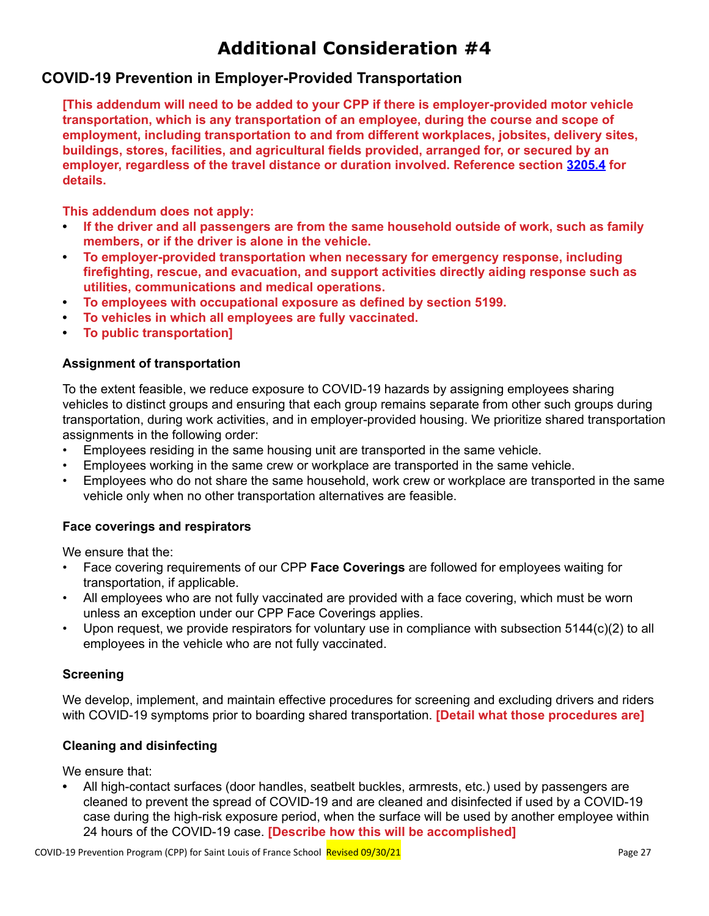## **Additional Consideration #4**

## **COVID-19 Prevention in Employer-Provided Transportation**

**[This addendum will need to be added to your CPP if there is employer-provided motor vehicle transportation, which is any transportation of an employee, during the course and scope of employment, including transportation to and from different workplaces, jobsites, delivery sites, buildings, stores, facilities, and agricultural fields provided, arranged for, or secured by an employer, regardless of the travel distance or duration involved. Reference section [3205.4](https://www.dir.ca.gov/title8/3205_4.html) for details.**

**This addendum does not apply:**

- **• If the driver and all passengers are from the same household outside of work, such as family members, or if the driver is alone in the vehicle.**
- **• To employer-provided transportation when necessary for emergency response, including firefighting, rescue, and evacuation, and support activities directly aiding response such as utilities, communications and medical operations.**
- **• To employees with occupational exposure as defined by section 5199.**
- **• To vehicles in which all employees are fully vaccinated.**
- **• To public transportation]**

### **Assignment of transportation**

To the extent feasible, we reduce exposure to COVID-19 hazards by assigning employees sharing vehicles to distinct groups and ensuring that each group remains separate from other such groups during transportation, during work activities, and in employer-provided housing. We prioritize shared transportation assignments in the following order:

- Employees residing in the same housing unit are transported in the same vehicle.
- Employees working in the same crew or workplace are transported in the same vehicle.
- Employees who do not share the same household, work crew or workplace are transported in the same vehicle only when no other transportation alternatives are feasible.

### **Face coverings and respirators**

We ensure that the:

- Face covering requirements of our CPP **Face Coverings** are followed for employees waiting for transportation, if applicable.
- All employees who are not fully vaccinated are provided with a face covering, which must be worn unless an exception under our CPP Face Coverings applies.
- Upon request, we provide respirators for voluntary use in compliance with subsection 5144(c)(2) to all employees in the vehicle who are not fully vaccinated.

### **Screening**

We develop, implement, and maintain effective procedures for screening and excluding drivers and riders with COVID-19 symptoms prior to boarding shared transportation. **[Detail what those procedures are]**

### **Cleaning and disinfecting**

We ensure that:

**•** All high-contact surfaces (door handles, seatbelt buckles, armrests, etc.) used by passengers are cleaned to prevent the spread of COVID-19 and are cleaned and disinfected if used by a COVID-19 case during the high-risk exposure period, when the surface will be used by another employee within 24 hours of the COVID-19 case. **[Describe how this will be accomplished]**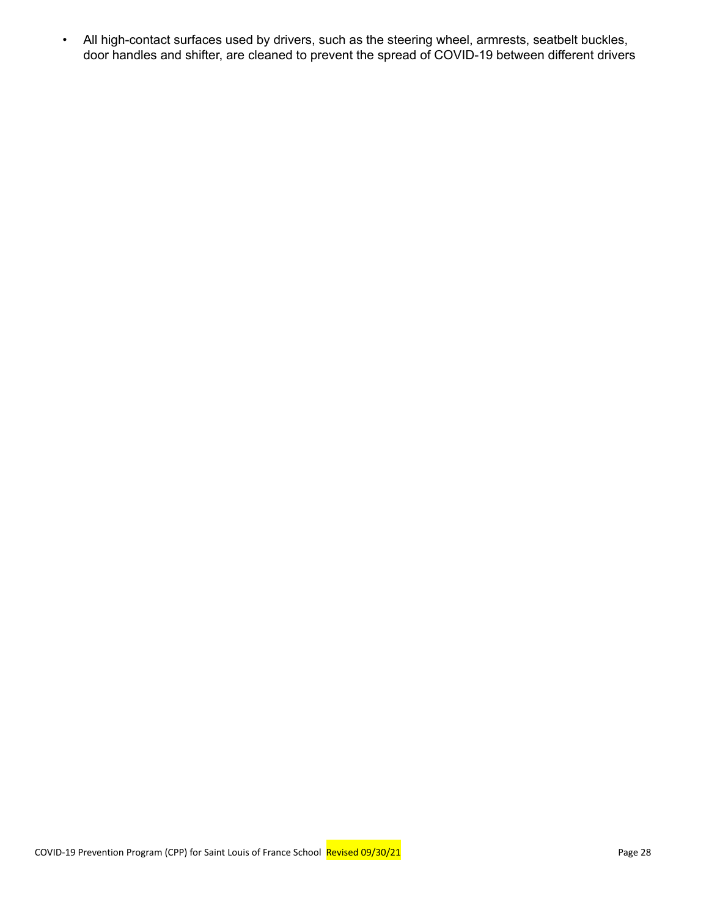• All high-contact surfaces used by drivers, such as the steering wheel, armrests, seatbelt buckles, door handles and shifter, are cleaned to prevent the spread of COVID-19 between different drivers